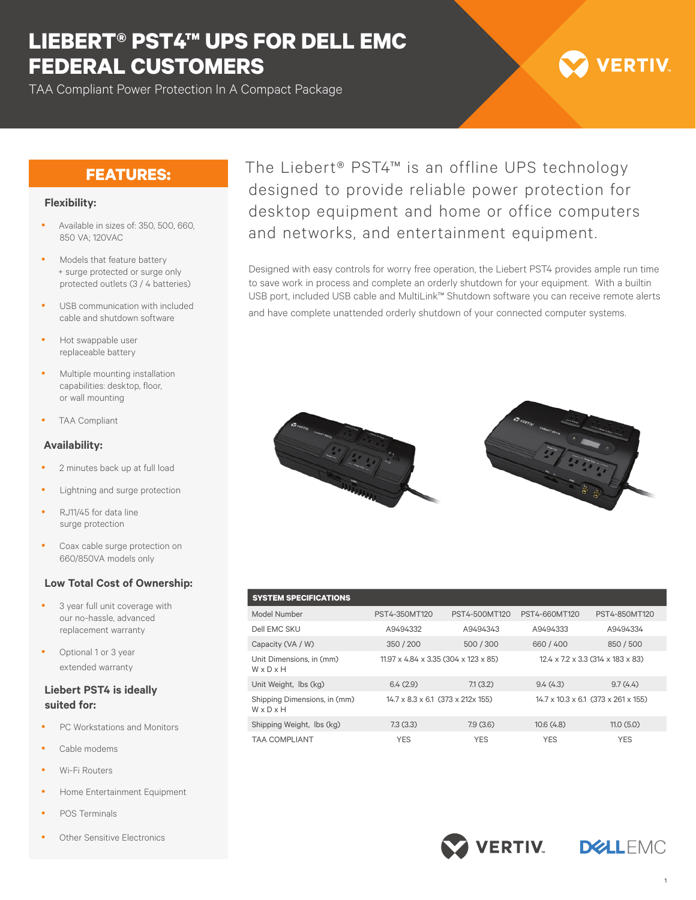## **LIEBERT® PST4™ UPS FOR DELL EMC FEDERAL CUSTOMERS**

TAA Compliant Power Protection In A Compact Package

# **VERTIV**

### **FEATURES:**

#### **Flexibility:**

- y Available in sizes of: 350, 500, 660, 850 VA; 120VAC
- Models that feature battery + surge protected or surge only protected outlets (3 / 4 batteries)
- USB communication with included cable and shutdown software
- Hot swappable user replaceable battery
- Multiple mounting installation capabilities: desktop, floor, or wall mounting
- **TAA Compliant**

#### **Availability:**

- 2 minutes back up at full load
- Lightning and surge protection
- RJ11/45 for data line surge protection
- Coax cable surge protection on 660/850VA models only

#### **Low Total Cost of Ownership:**

- 3 year full unit coverage with our no-hassle, advanced replacement warranty
- Optional 1 or 3 year extended warranty

#### **Liebert PST4 is ideally suited for:**

- PC Workstations and Monitors
- Cable modems
- Wi-Fi Routers
- Home Entertainment Equipment
- POS Terminals
- Other Sensitive Electronics

The Liebert® PST4™ is an offline UPS technology designed to provide reliable power protection for desktop equipment and home or office computers and networks, and entertainment equipment.

Designed with easy controls for worry free operation, the Liebert PST4 provides ample run time to save work in process and complete an orderly shutdown for your equipment. With a builtin USB port, included USB cable and MultiLink™ Shutdown software you can receive remote alerts and have complete unattended orderly shutdown of your connected computer systems.



| <b>SYSTEM SPECIFICATIONS</b>          |                                                  |                      |               |                                                 |
|---------------------------------------|--------------------------------------------------|----------------------|---------------|-------------------------------------------------|
| Model Number                          | PST4-350MT120                                    | PST4-500MT120        | PST4-660MT120 | PST4-850MT120                                   |
| Dell EMC SKU                          | A9494332                                         | A9494343             | A9494333      | A9494334                                        |
| Capacity (VA / W)                     | 350 / 200                                        | 500 / 300            | 660 / 400     | 850 / 500                                       |
| Unit Dimensions, in (mm)<br>WxDxH     | $11.97 \times 4.84 \times 3.35$ (304 x 123 x 85) |                      |               | $12.4 \times 7.2 \times 3.3$ (314 x 183 x 83)   |
| Unit Weight, Ibs (kg)                 | 6.4(2.9)                                         | 7.1 <sup>(3.2)</sup> | 9.4(4.3)      | 9.7(4.4)                                        |
| Shipping Dimensions, in (mm)<br>WxDxH | $14.7 \times 8.3 \times 6.1$ (373 x 212x 155)    |                      |               | $14.7 \times 10.3 \times 6.1$ (373 x 261 x 155) |
| Shipping Weight, Ibs (kg)             | 7.3(3.3)                                         | 7.9 <sup>(3.6)</sup> | 10.6(4.8)     | 11.0(5.0)                                       |
| <b>TAA COMPLIANT</b>                  | <b>YES</b>                                       | <b>YES</b>           | <b>YES</b>    | <b>YES</b>                                      |





1